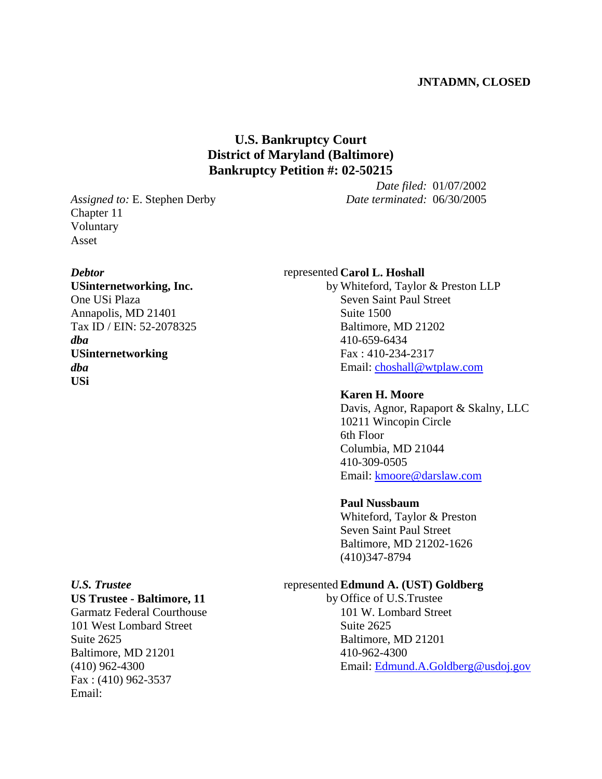## **JNTADMN, CLOSED**

# **U.S. Bankruptcy Court District of Maryland (Baltimore) Bankruptcy Petition #: 02-50215**

*Assigned to:* E. Stephen Derby Chapter 11 Voluntary Asset

#### *Debtor*

**USinternetworking, Inc.** One USi Plaza Annapolis, MD 21401 Tax ID / EIN: 52-2078325 *dba* **USinternetworking** *dba* **USi**

*Date terminated:* 06/30/2005

*Date filed:* 01/07/2002

### represented **Carol L. Hoshall**

by Whiteford, Taylor & Preston LLP Seven Saint Paul Street Suite 1500 Baltimore, MD 21202 410-659-6434 Fax : 410-234-2317 Email: choshall@wtplaw.com

# **Karen H. Moore**

Davis, Agnor, Rapaport & Skalny, LLC 10211 Wincopin Circle 6th Floor Columbia, MD 21044 410-309-0505 Email: kmoore@darslaw.com

#### **Paul Nussbaum**

Whiteford, Taylor & Preston Seven Saint Paul Street Baltimore, MD 21202-1626 (410)347-8794

### represented **Edmund A. (UST) Goldberg**

by Office of U.S.Trustee 101 W. Lombard Street Suite 2625 Baltimore, MD 21201 410-962-4300 Email: Edmund.A.Goldberg@usdoj.gov

# *U.S. Trustee* **US Trustee - Baltimore, 11**

Garmatz Federal Courthouse 101 West Lombard Street Suite 2625 Baltimore, MD 21201 (410) 962-4300 Fax : (410) 962-3537 Email: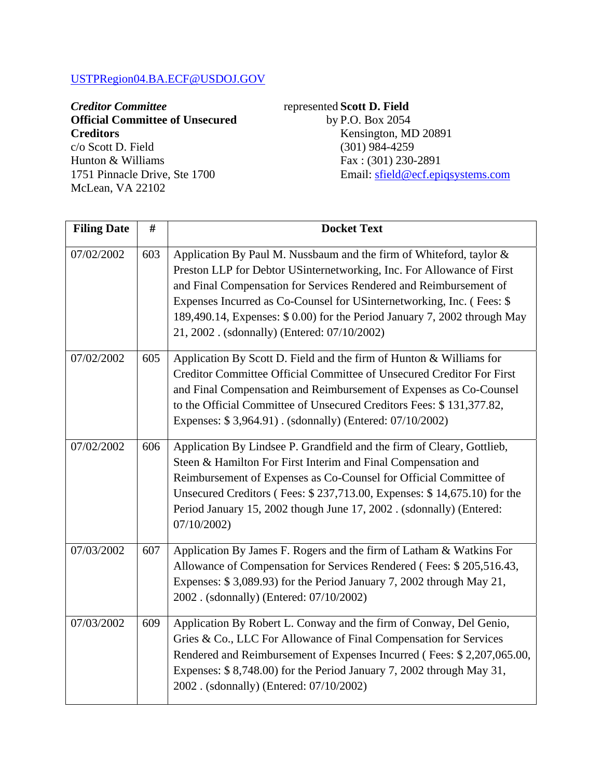# USTPRegion04.BA.ECF@USDOJ.GOV

# *Creditor Committee* **Official Committee of Unsecured Creditors**

c/o Scott D. Field Hunton & Williams 1751 Pinnacle Drive, Ste 1700 McLean, VA 22102

# represented **Scott D. Field**

by P.O. Box 2054 Kensington, MD 20891 (301) 984-4259 Fax : (301) 230-2891 Email: sfield@ecf.epiqsystems.com

| <b>Filing Date</b> | #   | <b>Docket Text</b>                                                                                                                                                                                                                                                                                                                                                                                                     |
|--------------------|-----|------------------------------------------------------------------------------------------------------------------------------------------------------------------------------------------------------------------------------------------------------------------------------------------------------------------------------------------------------------------------------------------------------------------------|
| 07/02/2002         | 603 | Application By Paul M. Nussbaum and the firm of Whiteford, taylor &<br>Preston LLP for Debtor USinternetworking, Inc. For Allowance of First<br>and Final Compensation for Services Rendered and Reimbursement of<br>Expenses Incurred as Co-Counsel for USinternetworking, Inc. (Fees: \$<br>189,490.14, Expenses: \$ 0.00) for the Period January 7, 2002 through May<br>21, 2002. (sdonnally) (Entered: 07/10/2002) |
| 07/02/2002         | 605 | Application By Scott D. Field and the firm of Hunton & Williams for<br>Creditor Committee Official Committee of Unsecured Creditor For First<br>and Final Compensation and Reimbursement of Expenses as Co-Counsel<br>to the Official Committee of Unsecured Creditors Fees: \$131,377.82,<br>Expenses: \$3,964.91). (sdonnally) (Entered: 07/10/2002)                                                                 |
| 07/02/2002         | 606 | Application By Lindsee P. Grandfield and the firm of Cleary, Gottlieb,<br>Steen & Hamilton For First Interim and Final Compensation and<br>Reimbursement of Expenses as Co-Counsel for Official Committee of<br>Unsecured Creditors (Fees: \$237,713.00, Expenses: \$14,675.10) for the<br>Period January 15, 2002 though June 17, 2002. (sdonnally) (Entered:<br>07/10/2002)                                          |
| 07/03/2002         | 607 | Application By James F. Rogers and the firm of Latham & Watkins For<br>Allowance of Compensation for Services Rendered (Fees: \$205,516.43,<br>Expenses: \$3,089.93) for the Period January 7, 2002 through May 21,<br>2002. (sdonnally) (Entered: 07/10/2002)                                                                                                                                                         |
| 07/03/2002         | 609 | Application By Robert L. Conway and the firm of Conway, Del Genio,<br>Gries & Co., LLC For Allowance of Final Compensation for Services<br>Rendered and Reimbursement of Expenses Incurred (Fees: \$2,207,065.00,<br>Expenses: \$ 8,748.00) for the Period January 7, 2002 through May 31,<br>2002. (sdonnally) (Entered: 07/10/2002)                                                                                  |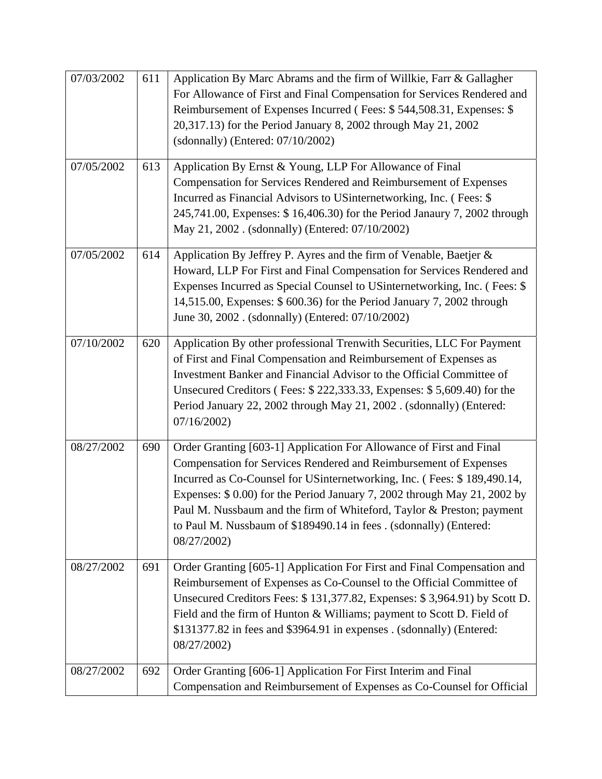| 07/03/2002 | 611 | Application By Marc Abrams and the firm of Willkie, Farr & Gallagher<br>For Allowance of First and Final Compensation for Services Rendered and<br>Reimbursement of Expenses Incurred (Fees: \$544,508.31, Expenses: \$<br>20,317.13) for the Period January 8, 2002 through May 21, 2002<br>(sdonnally) (Entered: $07/10/2002$ )                                                                                                                            |
|------------|-----|--------------------------------------------------------------------------------------------------------------------------------------------------------------------------------------------------------------------------------------------------------------------------------------------------------------------------------------------------------------------------------------------------------------------------------------------------------------|
| 07/05/2002 | 613 | Application By Ernst & Young, LLP For Allowance of Final<br>Compensation for Services Rendered and Reimbursement of Expenses<br>Incurred as Financial Advisors to USinternetworking, Inc. (Fees: \$<br>245,741.00, Expenses: \$16,406.30) for the Period Janaury 7, 2002 through<br>May 21, 2002. (sdonnally) (Entered: 07/10/2002)                                                                                                                          |
| 07/05/2002 | 614 | Application By Jeffrey P. Ayres and the firm of Venable, Baetjer &<br>Howard, LLP For First and Final Compensation for Services Rendered and<br>Expenses Incurred as Special Counsel to US internetworking, Inc. (Fees: \$<br>14,515.00, Expenses: \$ 600.36) for the Period January 7, 2002 through<br>June 30, 2002. (sdonnally) (Entered: 07/10/2002)                                                                                                     |
| 07/10/2002 | 620 | Application By other professional Trenwith Securities, LLC For Payment<br>of First and Final Compensation and Reimbursement of Expenses as<br>Investment Banker and Financial Advisor to the Official Committee of<br>Unsecured Creditors (Fees: \$222,333.33, Expenses: \$5,609.40) for the<br>Period January 22, 2002 through May 21, 2002. (sdonnally) (Entered:<br>07/16/2002                                                                            |
| 08/27/2002 | 690 | Order Granting [603-1] Application For Allowance of First and Final<br>Compensation for Services Rendered and Reimbursement of Expenses<br>Incurred as Co-Counsel for USinternetworking, Inc. (Fees: \$189,490.14,<br>Expenses: \$ 0.00) for the Period January 7, 2002 through May 21, 2002 by<br>Paul M. Nussbaum and the firm of Whiteford, Taylor & Preston; payment<br>to Paul M. Nussbaum of \$189490.14 in fees. (sdonnally) (Entered:<br>08/27/2002) |
| 08/27/2002 | 691 | Order Granting [605-1] Application For First and Final Compensation and<br>Reimbursement of Expenses as Co-Counsel to the Official Committee of<br>Unsecured Creditors Fees: \$131,377.82, Expenses: \$3,964.91) by Scott D.<br>Field and the firm of Hunton & Williams; payment to Scott D. Field of<br>\$131377.82 in fees and \$3964.91 in expenses . (sdonnally) (Entered:<br>08/27/2002)                                                                |
| 08/27/2002 | 692 | Order Granting [606-1] Application For First Interim and Final<br>Compensation and Reimbursement of Expenses as Co-Counsel for Official                                                                                                                                                                                                                                                                                                                      |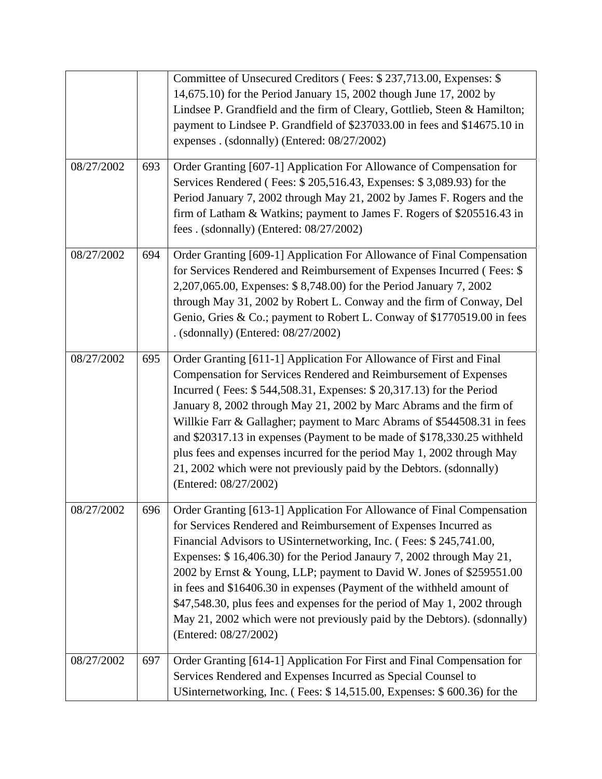|            |     | Committee of Unsecured Creditors (Fees: \$237,713.00, Expenses: \$<br>14,675.10) for the Period January 15, 2002 though June 17, 2002 by<br>Lindsee P. Grandfield and the firm of Cleary, Gottlieb, Steen & Hamilton;<br>payment to Lindsee P. Grandfield of \$237033.00 in fees and \$14675.10 in<br>expenses . (sdonnally) (Entered: 08/27/2002)                                                                                                                                                                                                                                                                          |
|------------|-----|-----------------------------------------------------------------------------------------------------------------------------------------------------------------------------------------------------------------------------------------------------------------------------------------------------------------------------------------------------------------------------------------------------------------------------------------------------------------------------------------------------------------------------------------------------------------------------------------------------------------------------|
| 08/27/2002 | 693 | Order Granting [607-1] Application For Allowance of Compensation for<br>Services Rendered (Fees: \$205,516.43, Expenses: \$3,089.93) for the<br>Period January 7, 2002 through May 21, 2002 by James F. Rogers and the<br>firm of Latham & Watkins; payment to James F. Rogers of \$205516.43 in<br>fees . (sdonnally) (Entered: 08/27/2002)                                                                                                                                                                                                                                                                                |
| 08/27/2002 | 694 | Order Granting [609-1] Application For Allowance of Final Compensation<br>for Services Rendered and Reimbursement of Expenses Incurred (Fees: \$<br>2,207,065.00, Expenses: \$ 8,748.00) for the Period January 7, 2002<br>through May 31, 2002 by Robert L. Conway and the firm of Conway, Del<br>Genio, Gries & Co.; payment to Robert L. Conway of \$1770519.00 in fees<br>. (sdonnally) (Entered: 08/27/2002)                                                                                                                                                                                                           |
| 08/27/2002 | 695 | Order Granting [611-1] Application For Allowance of First and Final<br>Compensation for Services Rendered and Reimbursement of Expenses<br>Incurred (Fees: \$544,508.31, Expenses: \$20,317.13) for the Period<br>January 8, 2002 through May 21, 2002 by Marc Abrams and the firm of<br>Willkie Farr & Gallagher; payment to Marc Abrams of \$544508.31 in fees<br>and \$20317.13 in expenses (Payment to be made of \$178,330.25 withheld<br>plus fees and expenses incurred for the period May 1, 2002 through May<br>21, 2002 which were not previously paid by the Debtors. (sdonnally)<br>(Entered: 08/27/2002)       |
| 08/27/2002 | 696 | Order Granting [613-1] Application For Allowance of Final Compensation<br>for Services Rendered and Reimbursement of Expenses Incurred as<br>Financial Advisors to USinternetworking, Inc. (Fees: \$245,741.00,<br>Expenses: \$16,406.30) for the Period Janaury 7, 2002 through May 21,<br>2002 by Ernst & Young, LLP; payment to David W. Jones of \$259551.00<br>in fees and \$16406.30 in expenses (Payment of the withheld amount of<br>\$47,548.30, plus fees and expenses for the period of May 1, 2002 through<br>May 21, 2002 which were not previously paid by the Debtors). (sdonnally)<br>(Entered: 08/27/2002) |
| 08/27/2002 | 697 | Order Granting [614-1] Application For First and Final Compensation for<br>Services Rendered and Expenses Incurred as Special Counsel to<br>USinternetworking, Inc. (Fees: \$14,515.00, Expenses: \$600.36) for the                                                                                                                                                                                                                                                                                                                                                                                                         |